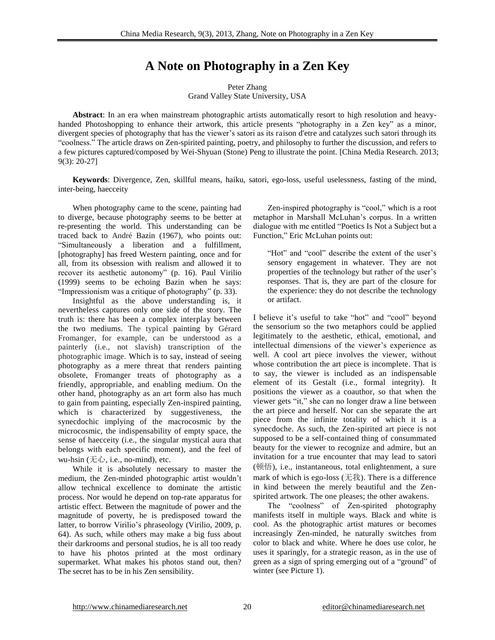# **A Note on Photography in a Zen Key**

## Peter Zhang Grand Valley State University, USA

**Abstract**: In an era when mainstream photographic artists automatically resort to high resolution and heavyhanded Photoshopping to enhance their artwork, this article presents "photography in a Zen key" as a minor, divergent species of photography that has the viewer's satori as its raison d'etre and catalyzes such satori through its "coolness." The article draws on Zen-spirited painting, poetry, and philosophy to further the discussion, and refers to a few pictures captured/composed by Wei-Shyuan (Stone) Peng to illustrate the point. [China Media Research. 2013; 9(3): 20-27]

**Keywords**: Divergence, Zen, skillful means, haiku, satori, ego-loss, useful uselessness, fasting of the mind, inter-being, haecceity

When photography came to the scene, painting had to diverge, because photography seems to be better at re-presenting the world. This understanding can be traced back to André Bazin (1967), who points out: "Simultaneously a liberation and a fulfillment, [photography] has freed Western painting, once and for all, from its obsession with realism and allowed it to recover its aesthetic autonomy" (p. 16). Paul Virilio (1999) seems to be echoing Bazin when he says: "Impressionism was a critique of photography" (p. 33).

 Insightful as the above understanding is, it nevertheless captures only one side of the story. The truth is: there has been a complex interplay between the two mediums. The typical painting by Gérard Fromanger, for example, can be understood as a painterly (i.e., not slavish) transcription of the photographic image. Which is to say, instead of seeing photography as a mere threat that renders painting obsolete, Fromanger treats of photography as a friendly, appropriable, and enabling medium. On the other hand, photography as an art form also has much to gain from painting, especially Zen-inspired painting, which is characterized by suggestiveness, the synecdochic implying of the macrocosmic by the microcosmic, the indispensability of empty space, the sense of haecceity (i.e., the singular mystical aura that belongs with each specific moment), and the feel of wu-hsin (无心, i.e., no-mind), etc.

 While it is absolutely necessary to master the medium, the Zen-minded photographic artist wouldn't allow technical excellence to dominate the artistic process. Nor would he depend on top-rate apparatus for artistic effect. Between the magnitude of power and the magnitude of poverty, he is predisposed toward the latter, to borrow Virilio's phraseology (Virilio, 2009, p. 64). As such, while others may make a big fuss about their darkrooms and personal studios, he is all too ready to have his photos printed at the most ordinary supermarket. What makes his photos stand out, then? The secret has to be in his Zen sensibility.

 Zen-inspired photography is "cool," which is a root metaphor in Marshall McLuhan's corpus. In a written dialogue with me entitled "Poetics Is Not a Subject but a Function," Eric McLuhan points out:

"Hot" and "cool" describe the extent of the user's sensory engagement in whatever. They are not properties of the technology but rather of the user's responses. That is, they are part of the closure for the experience: they do not describe the technology or artifact.

I believe it's useful to take "hot" and "cool" beyond the sensorium so the two metaphors could be applied legitimately to the aesthetic, ethical, emotional, and intellectual dimensions of the viewer's experience as well. A cool art piece involves the viewer, without whose contribution the art piece is incomplete. That is to say, the viewer is included as an indispensable element of its Gestalt (i.e., formal integrity). It positions the viewer as a coauthor, so that when the viewer gets "it," she can no longer draw a line between the art piece and herself. Nor can she separate the art piece from the infinite totality of which it is a synecdoche. As such, the Zen-spirited art piece is not supposed to be a self-contained thing of consummated beauty for the viewer to recognize and admire, but an invitation for a true encounter that may lead to satori (顿悟), i.e., instantaneous, total enlightenment, a sure mark of which is ego-loss  $($  $\pm \text{R})$ . There is a difference in kind between the merely beautiful and the Zenspirited artwork. The one pleases; the other awakens.

The "coolness" of Zen-spirited photography manifests itself in multiple ways. Black and white is cool. As the photographic artist matures or becomes increasingly Zen-minded, he naturally switches from color to black and white. Where he does use color, he uses it sparingly, for a strategic reason, as in the use of green as a sign of spring emerging out of a "ground" of winter (see Picture 1).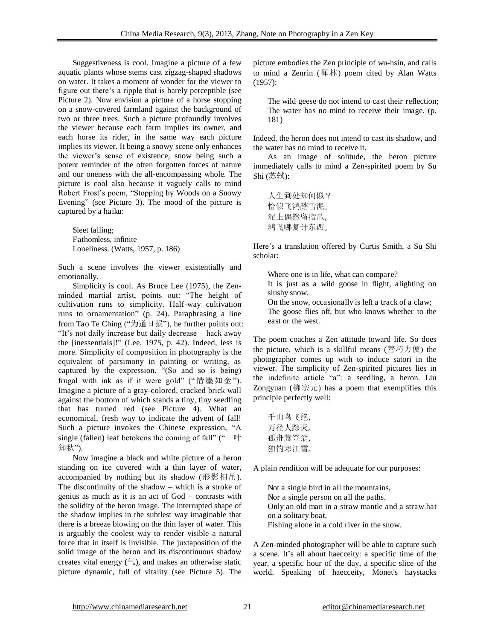Suggestiveness is cool. Imagine a picture of a few aquatic plants whose stems cast zigzag-shaped shadows on water. It takes a moment of wonder for the viewer to figure out there's a ripple that is barely perceptible (see Picture 2). Now envision a picture of a horse stopping on a snow-covered farmland against the background of two or three trees. Such a picture profoundly involves the viewer because each farm implies its owner, and each horse its rider, in the same way each picture implies its viewer. It being a snowy scene only enhances the viewer's sense of existence, snow being such a potent reminder of the often forgotten forces of nature and our oneness with the all-encompassing whole. The picture is cool also because it vaguely calls to mind Robert Frost's poem, "Stopping by Woods on a Snowy Evening" (see Picture 3). The mood of the picture is captured by a haiku:

Sleet falling; Fathomless, infinite Loneliness. (Watts, 1957, p. 186)

Such a scene involves the viewer existentially and emotionally.

Simplicity is cool. As Bruce Lee (1975), the Zenminded martial artist, points out: "The height of cultivation runs to simplicity. Half-way cultivation runs to ornamentation" (p. 24). Paraphrasing a line from Tao Te Ching ("为道日损"), he further points out: "It's not daily increase but daily decrease – hack away the [inessentials]!" (Lee, 1975, p. 42). Indeed, less is more. Simplicity of composition in photography is the equivalent of parsimony in painting or writing, as captured by the expression, "(So and so is being) frugal with ink as if it were gold" ("惜墨如金"). Imagine a picture of a gray-colored, cracked brick wall against the bottom of which stands a tiny, tiny seedling that has turned red (see Picture 4). What an economical, fresh way to indicate the advent of fall! Such a picture invokes the Chinese expression, "A single (fallen) leaf betokens the coming of fall" (" $-\mathbb{H}$ ) 知秋").

Now imagine a black and white picture of a heron standing on ice covered with a thin layer of water, accompanied by nothing but its shadow (形影相吊). The discontinuity of the shadow – which is a stroke of genius as much as it is an act of God – contrasts with the solidity of the heron image. The interrupted shape of the shadow implies in the subtlest way imaginable that there is a breeze blowing on the thin layer of water. This is arguably the coolest way to render visible a natural force that in itself is invisible. The juxtaposition of the solid image of the heron and its discontinuous shadow creates vital energy  $(\overline{\overline{z}})$ , and makes an otherwise static picture dynamic, full of vitality (see Picture 5). The picture embodies the Zen principle of wu-hsin, and calls to mind a Zenrin (禅林) poem cited by Alan Watts (1957):

The wild geese do not intend to cast their reflection; The water has no mind to receive their image. (p. 181)

Indeed, the heron does not intend to cast its shadow, and the water has no mind to receive it.

As an image of solitude, the heron picture immediately calls to mind a Zen-spirited poem by Su Shi (苏轼):

| 人生到处知何似? |
|----------|
| 恰似飞鸿踏雪泥。 |
| 泥上偶然留指爪, |
| 鸿飞哪复计东西。 |

Here's a translation offered by Curtis Smith, a Su Shi scholar:

Where one is in life, what can compare? It is just as a wild goose in flight, alighting on slushy snow. On the snow, occasionally is left a track of a claw; The goose flies off, but who knows whether to the east or the west.

The poem coaches a Zen attitude toward life. So does the picture, which is a skillful means (善巧方便) the photographer comes up with to induce satori in the viewer. The simplicity of Zen-spirited pictures lies in the indefinite article "a": a seedling, a heron. Liu Zongyuan (柳宗元) has a poem that exemplifies this principle perfectly well:

| 千山鸟飞绝, |  |
|--------|--|
| 万径人踪灭。 |  |
| 孤舟蓑笠翁, |  |
| 独钓寒江雪。 |  |

A plain rendition will be adequate for our purposes:

Not a single bird in all the mountains, Nor a single person on all the paths. Only an old man in a straw mantle and a straw hat on a solitary boat, Fishing alone in a cold river in the snow.

A Zen-minded photographer will be able to capture such a scene. It's all about haecceity: a specific time of the year, a specific hour of the day, a specific slice of the world. Speaking of haecceity, Monet's haystacks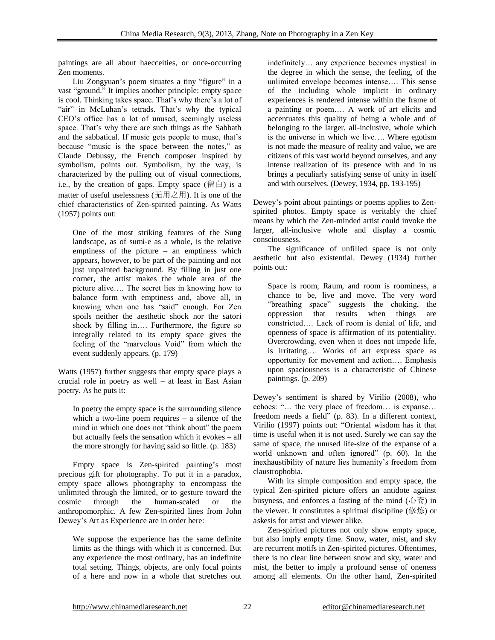paintings are all about haecceities, or once-occurring Zen moments.

Liu Zongyuan's poem situates a tiny "figure" in a vast "ground." It implies another principle: empty space is cool. Thinking takes space. That's why there's a lot of "air" in McLuhan's tetrads. That's why the typical CEO's office has a lot of unused, seemingly useless space. That's why there are such things as the Sabbath and the sabbatical. If music gets people to muse, that's because "music is the space between the notes," as Claude Debussy, the French composer inspired by symbolism, points out. Symbolism, by the way, is characterized by the pulling out of visual connections, i.e., by the creation of gaps. Empty space  $(\boxtimes \triangleleft)$  is a matter of useful uselessness (无用之用). It is one of the chief characteristics of Zen-spirited painting. As Watts (1957) points out:

One of the most striking features of the Sung landscape, as of sumi-e as a whole, is the relative emptiness of the picture – an emptiness which appears, however, to be part of the painting and not just unpainted background. By filling in just one corner, the artist makes the whole area of the picture alive…. The secret lies in knowing how to balance form with emptiness and, above all, in knowing when one has "said" enough. For Zen spoils neither the aesthetic shock nor the satori shock by filling in…. Furthermore, the figure so integrally related to its empty space gives the feeling of the "marvelous Void" from which the event suddenly appears. (p. 179)

Watts (1957) further suggests that empty space plays a crucial role in poetry as well – at least in East Asian poetry. As he puts it:

In poetry the empty space is the surrounding silence which a two-line poem requires – a silence of the mind in which one does not "think about" the poem but actually feels the sensation which it evokes – all the more strongly for having said so little. (p. 183)

Empty space is Zen-spirited painting's most precious gift for photography. To put it in a paradox, empty space allows photography to encompass the unlimited through the limited, or to gesture toward the cosmic through the human-scaled or the anthropomorphic. A few Zen-spirited lines from John Dewey's Art as Experience are in order here:

We suppose the experience has the same definite limits as the things with which it is concerned. But any experience the most ordinary, has an indefinite total setting. Things, objects, are only focal points of a here and now in a whole that stretches out

indefinitely… any experience becomes mystical in the degree in which the sense, the feeling, of the unlimited envelope becomes intense…. This sense of the including whole implicit in ordinary experiences is rendered intense within the frame of a painting or poem…. A work of art elicits and accentuates this quality of being a whole and of belonging to the larger, all-inclusive, whole which is the universe in which we live…. Where egotism is not made the measure of reality and value, we are citizens of this vast world beyond ourselves, and any intense realization of its presence with and in us brings a peculiarly satisfying sense of unity in itself and with ourselves. (Dewey, 1934, pp. 193-195)

Dewey's point about paintings or poems applies to Zenspirited photos. Empty space is veritably the chief means by which the Zen-minded artist could invoke the larger, all-inclusive whole and display a cosmic consciousness.

 The significance of unfilled space is not only aesthetic but also existential. Dewey (1934) further points out:

Space is room, Raum, and room is roominess, a chance to be, live and move. The very word "breathing space" suggests the choking, the oppression that results when things are constricted…. Lack of room is denial of life, and openness of space is affirmation of its potentiality. Overcrowding, even when it does not impede life, is irritating…. Works of art express space as opportunity for movement and action…. Emphasis upon spaciousness is a characteristic of Chinese paintings. (p. 209)

Dewey's sentiment is shared by Virilio (2008), who echoes: "… the very place of freedom… is expanse… freedom needs a field" (p. 83). In a different context, Virilio (1997) points out: "Oriental wisdom has it that time is useful when it is not used. Surely we can say the same of space, the unused life-size of the expanse of a world unknown and often ignored" (p. 60). In the inexhaustibility of nature lies humanity's freedom from claustrophobia.

With its simple composition and empty space, the typical Zen-spirited picture offers an antidote against busyness, and enforces a fasting of the mind (心斋) in the viewer. It constitutes a spiritual discipline (修炼) or askesis for artist and viewer alike.

Zen-spirited pictures not only show empty space, but also imply empty time. Snow, water, mist, and sky are recurrent motifs in Zen-spirited pictures. Oftentimes, there is no clear line between snow and sky, water and mist, the better to imply a profound sense of oneness among all elements. On the other hand, Zen-spirited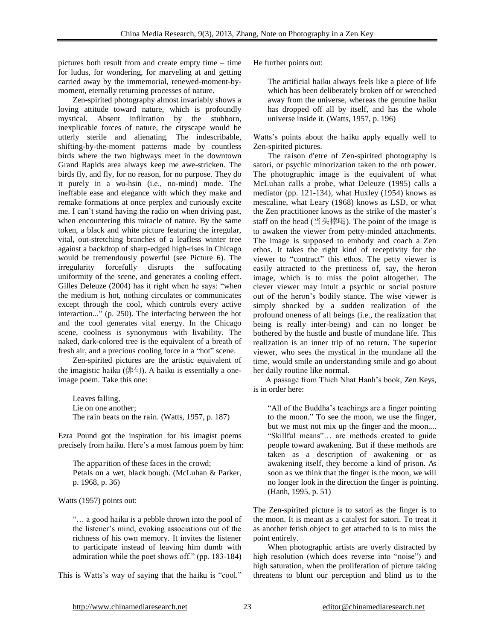pictures both result from and create empty time – time for ludus, for wondering, for marveling at and getting carried away by the immemorial, renewed-moment-bymoment, eternally returning processes of nature.

Zen-spirited photography almost invariably shows a loving attitude toward nature, which is profoundly mystical. Absent infiltration by the stubborn, inexplicable forces of nature, the cityscape would be utterly sterile and alienating. The indescribable, shifting-by-the-moment patterns made by countless birds where the two highways meet in the downtown Grand Rapids area always keep me awe-stricken. The birds fly, and fly, for no reason, for no purpose. They do it purely in a wu-hsin (i.e., no-mind) mode. The ineffable ease and elegance with which they make and remake formations at once perplex and curiously excite me. I can't stand having the radio on when driving past, when encountering this miracle of nature. By the same token, a black and white picture featuring the irregular, vital, out-stretching branches of a leafless winter tree against a backdrop of sharp-edged high-rises in Chicago would be tremendously powerful (see Picture 6). The irregularity forcefully disrupts the suffocating uniformity of the scene, and generates a cooling effect. Gilles Deleuze (2004) has it right when he says: "when the medium is hot, nothing circulates or communicates except through the cool, which controls every active interaction..." (p. 250). The interfacing between the hot and the cool generates vital energy. In the Chicago scene, coolness is synonymous with livability. The naked, dark-colored tree is the equivalent of a breath of fresh air, and a precious cooling force in a "hot" scene.

 Zen-spirited pictures are the artistic equivalent of the imagistic haiku (俳句). A haiku is essentially a oneimage poem. Take this one:

Leaves falling, Lie on one another; The rain beats on the rain. (Watts, 1957, p. 187)

Ezra Pound got the inspiration for his imagist poems precisely from haiku. Here's a most famous poem by him:

The apparition of these faces in the crowd; Petals on a wet, black bough. (McLuhan & Parker, p. 1968, p. 36)

Watts (1957) points out:

"… a good haiku is a pebble thrown into the pool of the listener's mind, evoking associations out of the richness of his own memory. It invites the listener to participate instead of leaving him dumb with admiration while the poet shows off." (pp. 183-184)

This is Watts's way of saying that the haiku is "cool."

He further points out:

The artificial haiku always feels like a piece of life which has been deliberately broken off or wrenched away from the universe, whereas the genuine haiku has dropped off all by itself, and has the whole universe inside it. (Watts, 1957, p. 196)

Watts's points about the haiku apply equally well to Zen-spirited pictures.

The raison d'etre of Zen-spirited photography is satori, or psychic minorization taken to the nth power. The photographic image is the equivalent of what McLuhan calls a probe, what Deleuze (1995) calls a mediator (pp. 121-134), what Huxley (1954) knows as mescaline, what Leary (1968) knows as LSD, or what the Zen practitioner knows as the strike of the master's staff on the head  $($  当头棒喝). The point of the image is to awaken the viewer from petty-minded attachments. The image is supposed to embody and coach a Zen ethos. It takes the right kind of receptivity for the viewer to "contract" this ethos. The petty viewer is easily attracted to the prettiness of, say, the heron image, which is to miss the point altogether. The clever viewer may intuit a psychic or social posture out of the heron's bodily stance. The wise viewer is simply shocked by a sudden realization of the profound oneness of all beings (i.e., the realization that being is really inter-being) and can no longer be bothered by the hustle and bustle of mundane life. This realization is an inner trip of no return. The superior viewer, who sees the mystical in the mundane all the time, would smile an understanding smile and go about her daily routine like normal.

A passage from Thich Nhat Hanh's book, Zen Keys, is in order here:

"All of the Buddha's teachings are a finger pointing to the moon." To see the moon, we use the finger, but we must not mix up the finger and the moon.... "Skillful means"… are methods created to guide people toward awakening. But if these methods are taken as a description of awakening or as awakening itself, they become a kind of prison. As soon as we think that the finger is the moon, we will no longer look in the direction the finger is pointing. (Hanh, 1995, p. 51)

The Zen-spirited picture is to satori as the finger is to the moon. It is meant as a catalyst for satori. To treat it as another fetish object to get attached to is to miss the point entirely.

When photographic artists are overly distracted by high resolution (which does reverse into "noise") and high saturation, when the proliferation of picture taking threatens to blunt our perception and blind us to the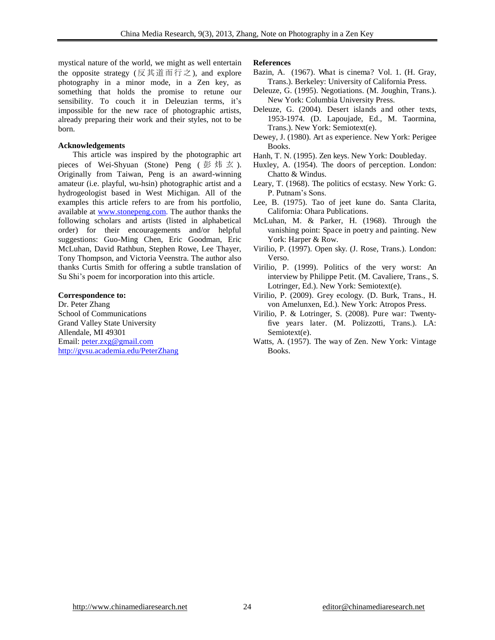mystical nature of the world, we might as well entertain the opposite strategy (反其道而行之), and explore photography in a minor mode, in a Zen key, as something that holds the promise to retune our sensibility. To couch it in Deleuzian terms, it's impossible for the new race of photographic artists, already preparing their work and their styles, not to be born.

#### **Acknowledgements**

 This article was inspired by the photographic art pieces of Wei-Shyuan (Stone) Peng (彭炜玄). Originally from Taiwan, Peng is an award-winning amateur (i.e. playful, wu-hsin) photographic artist and a hydrogeologist based in West Michigan. All of the examples this article refers to are from his portfolio, available at [www.stonepeng.com.](http://www.stonepeng.com/) The author thanks the following scholars and artists (listed in alphabetical order) for their encouragements and/or helpful suggestions: Guo-Ming Chen, Eric Goodman, Eric McLuhan, David Rathbun, Stephen Rowe, Lee Thayer, Tony Thompson, and Victoria Veenstra. The author also thanks Curtis Smith for offering a subtle translation of Su Shi's poem for incorporation into this article.

#### **Correspondence to:**

Dr. Peter Zhang School of Communications Grand Valley State University Allendale, MI 49301 Email: [peter.zxg@gmail.com](mailto:peter.zxg@gmail.com) <http://gvsu.academia.edu/PeterZhang>

### **References**

- Bazin, A. (1967). What is cinema? Vol. 1. (H. Gray, Trans.). Berkeley: University of California Press.
- Deleuze, G. (1995). Negotiations. (M. Joughin, Trans.). New York: Columbia University Press.
- Deleuze, G. (2004). Desert islands and other texts, 1953-1974. (D. Lapoujade, Ed., M. Taormina, Trans.). New York: Semiotext(e).
- Dewey, J. (1980). Art as experience. New York: Perigee Books.
- Hanh, T. N. (1995). Zen keys. New York: Doubleday.
- Huxley, A. (1954). The doors of perception. London: Chatto & Windus.
- Leary, T. (1968). The politics of ecstasy. New York: G. P. Putnam's Sons.
- Lee, B. (1975). Tao of jeet kune do. Santa Clarita, California: Ohara Publications.
- McLuhan, M. & Parker, H. (1968). Through the vanishing point: Space in poetry and painting. New York: Harper & Row.
- Virilio, P. (1997). Open sky. (J. Rose, Trans.). London: Verso.
- Virilio, P. (1999). Politics of the very worst: An interview by Philippe Petit. (M. Cavaliere, Trans., S. Lotringer, Ed.). New York: Semiotext(e).
- Virilio, P. (2009). Grey ecology. (D. Burk, Trans., H. von Amelunxen, Ed.). New York: Atropos Press.
- Virilio, P. & Lotringer, S. (2008). Pure war: Twentyfive years later. (M. Polizzotti, Trans.). LA: Semiotext(e).
- Watts, A. (1957). The way of Zen. New York: Vintage Books.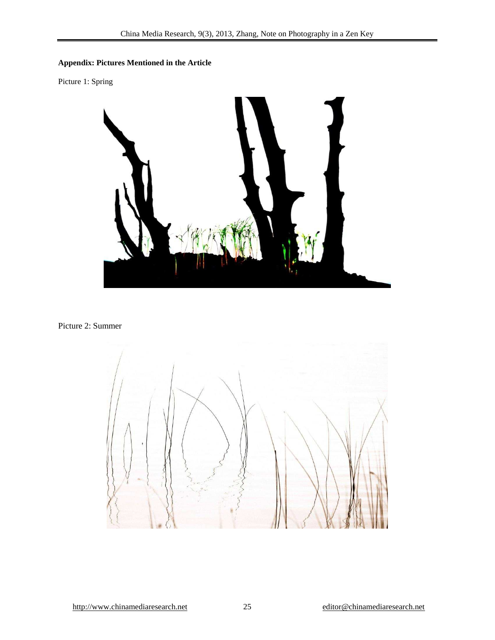# **Appendix: Pictures Mentioned in the Article**

Picture 1: Spring



Picture 2: Summer

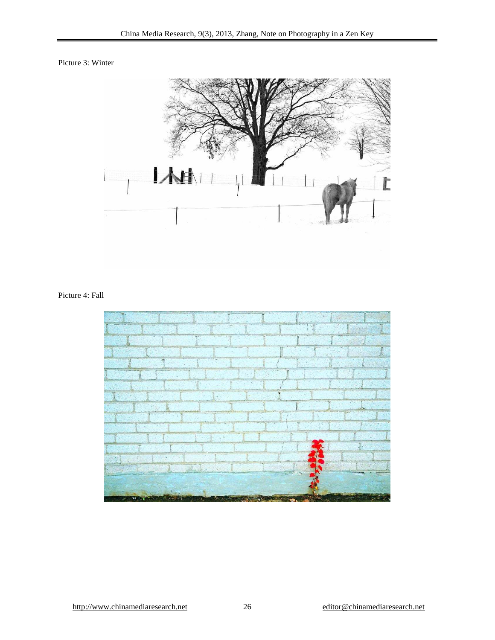Picture 3: Winter



## Picture 4: Fall

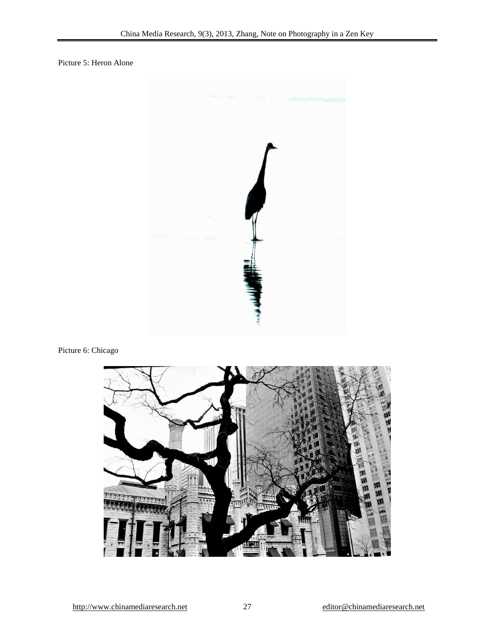Picture 5: Heron Alone



Picture 6: Chicago